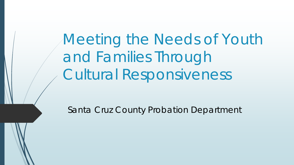Meeting the Needs of Youth and Families Through Cultural Responsiveness

Santa Cruz County Probation Department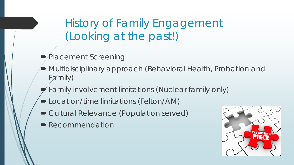History of Family Engagement (Looking at the past!)

- Placement Screening
- Multidisciplinary approach (Behavioral Health, Probation and Family)
- Family involvement limitations (Nuclear family only)
- **D** Location/time limitations (Felton/AM)
- Cultural Relevance (Population served)
- Recommendation

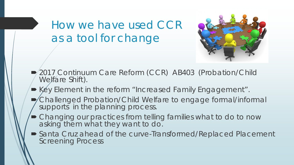How we have used CCR as a tool for change



- 2017 Continuum Care Reform (CCR) AB403 (Probation/Child Welfare Shift).
- Key Element in the reform "Increased Family Engagement".
- Challenged Probation/Child Welfare to engage formal/informal supports in the planning process.
- Changing our practices from telling families what to do to now asking them what they want to do.
- Santa Cruz ahead of the curve-Transformed/Replaced Placement Screening Process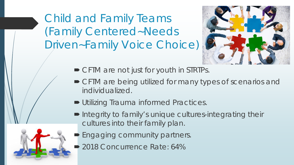Child and Family Teams (Family Centered~Needs Driven~Family Voice Choice)



- CFTM are not just for youth in STRTPs.
- CFTM are being utilized for many types of scenarios and individualized.
- **Utilizing Trauma informed Practices.**
- Integrity to family's unique cultures-integrating their cultures into their family plan.
- **Engaging community partners.**
- 2018 Concurrence Rate: 64%

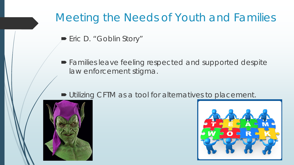### Meeting the Needs of Youth and Families

- Eric D. "Goblin Story"
- Families leave feeling respected and supported despite law enforcement stigma.

#### ■ Utilizing CFTM as a tool for alternatives to placement.



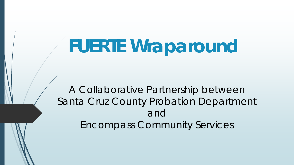## **FUERTE Wraparound**

*A Collaborative Partnership between Santa Cruz County Probation Department and Encompass Community Services*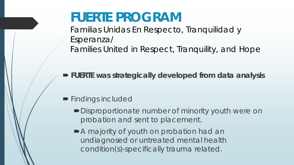## **FUERTE PROGRAM**

Familias Unidas En Respecto, Tranquilidad y Esperanza/ Families United in Respect, Tranquility, and Hope

**FUERTE was strategically developed from data analysis**

- **Findings included** 
	- Disproportionate number of minority youth were on probation and sent to placement.
	- A majority of youth on probation had an undiagnosed or untreated mental health condition(s)-specifically trauma related.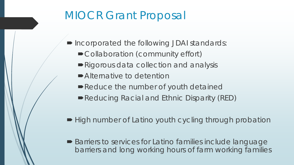### MIOCR Grant Proposal

- Incorporated the following JDAI standards:
	- Collaboration (community effort)
	- Rigorous data collection and analysis
	- Alternative to detention
	- Reduce the number of youth detained
	- Reducing Racial and Ethnic Disparity (RED)
- High number of Latino youth cycling through probation
- Barriers to services for Latino families include language barriers and long working hours of farm working families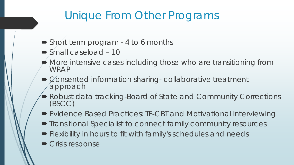## Unique From Other Programs

- Short term program 4 to 6 months
- Small caseload 10
- More intensive cases including those who are transitioning from WRAP
- $\bullet$  Consented information sharing-collaborative treatment approach
- Robust data tracking-Board of State and Community Corrections (BSCC)
- Evidence Based Practices: TF-CBT and Motivational Interviewing
- Transitional Specialist to connect family community resources
- **Flexibility in hours to fit with family's schedules and needs**
- **Crisis response**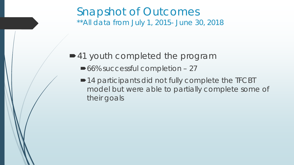#### Snapshot of Outcomes *\*\*All data from July 1, 2015- June 30, 2018*

#### ■41 youth completed the program

- ■66% successful completion 27
- ■14 participants did not fully complete the TFCBT model but were able to partially complete some of their goals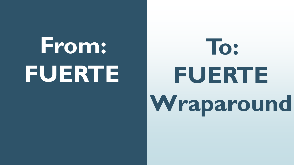## **From: FUERTE**

# **To: FUERTE Wraparound**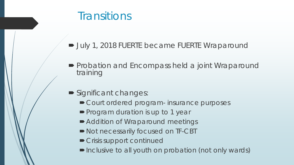#### **Transitions**

- July 1, 2018 FUERTE became FUERTE Wraparound
- **Probation and Encompass held a joint Wraparound** training
- Significant changes:
	- Court ordered program- insurance purposes
	- **Program duration is up to 1 year**
	- Addition of Wraparound meetings
	- $\blacksquare$  Not necessarily focused on TF-CBT
	- **Crisis support continued**
	- Inclusive to all youth on probation (not only wards)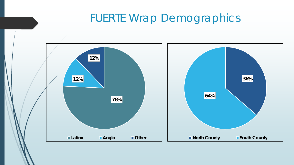#### FUERTE Wrap Demographics

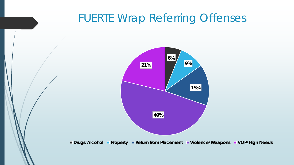#### FUERTE Wrap Referring Offenses



**Drugs/Alcohol Property Return from Placement Violence/Weapons VOP/High Needs**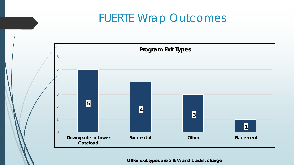#### FUERTE Wrap Outcomes



*Other exit types are 2 B/W and 1 adult charge*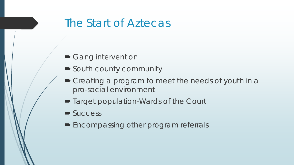#### The Start of Aztecas

- Gang intervention
- South county community
- $\blacktriangleright$  Creating a program to meet the needs of youth in a pro-social environment
- Target population-Wards of the Court
- Success
- **Encompassing other program referrals**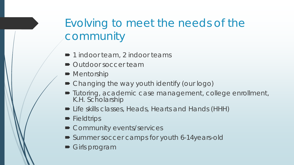## Evolving to meet the needs of the community

- 1 indoor team, 2 indoor teams
- Outdoor soccer team
- Mentorship
- Changing the way youth identify (our logo)
- Tutoring, academic case management, college enrollment, K.H. Scholarship
- Life skills classes, Heads, Hearts and Hands (HHH)
- **Fieldtrips**
- Community events/services
- Summer soccer camps for youth 6-14years-old
- **Girls program**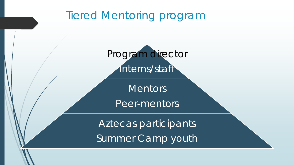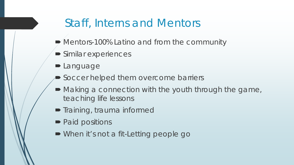#### Staff, Interns and Mentors

- Mentors-100% Latino and from the community
- **Similar experiences**
- **D** Language
- Soccer helped them overcome barriers
- Making a connection with the youth through the game, teaching life lessons
- **Training, trauma informed**
- Paid positions
- When it's not a fit-Letting people go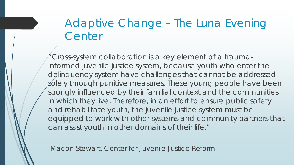## Adaptive Change – The Luna Evening **Center**

Cross-system collaboration is a key element of a traumainformed juvenile justice system, because youth who enter the delinquency system have challenges that cannot be addressed solely through punitive measures. These young people have been strongly influenced by their familial context and the communities in which they live. Therefore, in an effort to ensure public safety and rehabilitate youth, the juvenile justice system must be equipped to work with other systems and community partners that can assist youth in other domains of their life."

-Macon Stewart, Center for Juvenile Justice Reform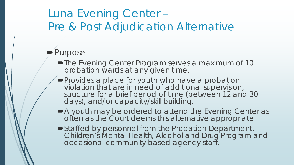### Luna Evening Center – Pre & Post Adjudication Alternative

#### $\blacktriangleright$  Purpose

- **The Evening Center Program serves a maximum of 10** probation wards at any given time.
- **Provides a place for youth who have a probation** violation that are in need of additional supervision, structure for a brief period of time (between 12 and 30 days), and/or capacity/skill building.
- A youth may be ordered to attend the Evening Center as often as the Court deems this alternative appropriate.
- Staffed by personnel from the Probation Department, Children's Mental Health, Alcohol and Drug Program and occasional community based agency staff.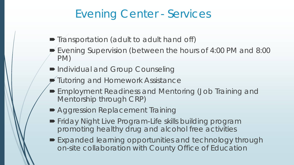#### Evening Center - Services

- Transportation (adult to adult hand off)
- Evening Supervision (between the hours of 4:00 PM and 8:00 PM)
- Individual and Group Counseling
- Tutoring and Homework Assistance
- Employment Readiness and Mentoring (Job Training and Mentorship through CRP)
- Aggression Replacement Training
- **Friday Night Live Program-Life skills building program** promoting healthy drug and alcohol free activities
- Expanded learning opportunities and technology through on-site collaboration with County Office of Education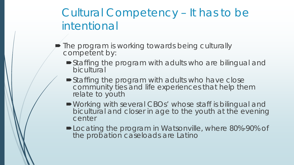## Cultural Competency – It has to be intentional

- $\blacktriangleright$  The program is working towards being culturally competent by:
	- Staffing the program with adults who are bilingual and bicultural
	- **Staffing the program with adults who have close** community ties and life experiences that help them relate to youth
	- Working with several CBOs' whose staff is bilingual and bicultural and closer in age to the youth at the evening center
	- **-Locating the program in Watsonville, where 80%-90% of** the probation caseloads are Latino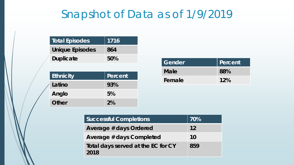### Snapshot of Data as of 1/9/2019

| Total Episodes         | $\parallel$ 1716 $^{\dagger}$ |
|------------------------|-------------------------------|
| <b>Unique Episodes</b> | 864                           |
| <b>Duplicate</b>       | 50%                           |

| Ethnicity | Percent |
|-----------|---------|
| Latino    | 93%     |
| Anglo     | 5%      |
| Other     | 2%      |

| Gender      | Percent |
|-------------|---------|
| <b>Male</b> | 88%     |
| Female      | 12%     |

| <b>Successful Completions</b>              | 70% |
|--------------------------------------------|-----|
| Average # days Ordered                     | 12  |
| Average # days Completed                   | 10  |
| Total days served at the EC for CY<br>2018 | 859 |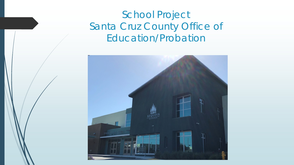#### School Project Santa Cruz County Office of Education/Probation

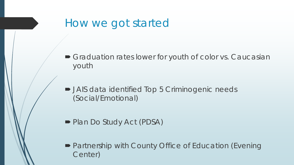#### How we got started

- Graduation rates lower for youth of color vs. Caucasian youth
- JAIS data identified Top 5 Criminogenic needs (Social/Emotional)
- Plan Do Study Act (PDSA)
- Partnership with County Office of Education (Evening Center)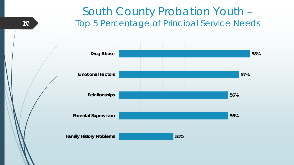#### South County Probation Youth – Top 5 Percentage of Principal Service Needs



10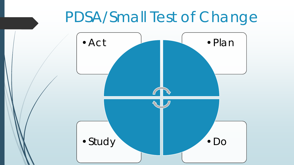## PDSA/Small Test of Change

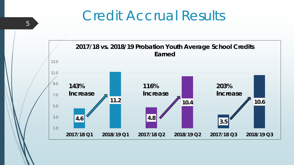## Credit Accrual Results



5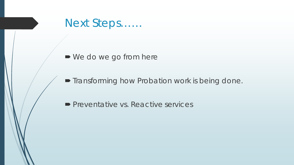

■ We do we go from here

**Transforming how Probation work is being done.** 

**Preventative vs. Reactive services**